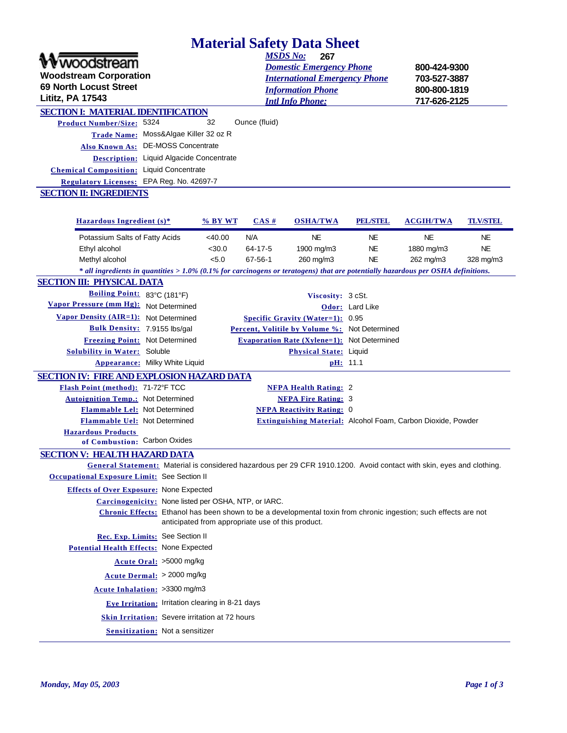# **Material Safety Data Sheet**

| <u>Matelial Salety Data Sliect</u>                                                                                                   |                                                                                                                                                                                                                          |               |                 |                 |                  |                 |
|--------------------------------------------------------------------------------------------------------------------------------------|--------------------------------------------------------------------------------------------------------------------------------------------------------------------------------------------------------------------------|---------------|-----------------|-----------------|------------------|-----------------|
| voodstream<br><b>Woodstream Corporation</b><br>69 North Locust Street<br><b>Lititz, PA 17543</b>                                     | <b>MSDS No:</b><br>267<br><b>Domestic Emergency Phone</b><br>800-424-9300<br><b>International Emergency Phone</b><br>703-527-3887<br>800-800-1819<br><b>Information Phone</b><br>717-626-2125<br><b>Intl Info Phone:</b> |               |                 |                 |                  |                 |
| <b>SECTION I: MATERIAL IDENTIFICATION</b>                                                                                            |                                                                                                                                                                                                                          |               |                 |                 |                  |                 |
| <b>Product Number/Size: 5324</b>                                                                                                     | 32                                                                                                                                                                                                                       | Ounce (fluid) |                 |                 |                  |                 |
| Moss&Algae Killer 32 oz R<br><b>Trade Name:</b>                                                                                      |                                                                                                                                                                                                                          |               |                 |                 |                  |                 |
| Also Known As: DE-MOSS Concentrate                                                                                                   |                                                                                                                                                                                                                          |               |                 |                 |                  |                 |
| Liquid Algacide Concentrate<br><b>Description:</b>                                                                                   |                                                                                                                                                                                                                          |               |                 |                 |                  |                 |
| <b>Liquid Concentrate</b><br><b>Chemical Composition:</b>                                                                            |                                                                                                                                                                                                                          |               |                 |                 |                  |                 |
| EPA Reg. No. 42697-7<br><b>Regulatory Licenses:</b>                                                                                  |                                                                                                                                                                                                                          |               |                 |                 |                  |                 |
| <b>SECTION II: INGREDIENTS</b>                                                                                                       |                                                                                                                                                                                                                          |               |                 |                 |                  |                 |
|                                                                                                                                      |                                                                                                                                                                                                                          |               |                 |                 |                  |                 |
| Hazardous Ingredient (s)*                                                                                                            | % BY WT                                                                                                                                                                                                                  | $CAS \#$      | <b>OSHA/TWA</b> | <b>PEL/STEL</b> | <b>ACGIH/TWA</b> | <b>TLV/STEL</b> |
| Potassium Salts of Fatty Acids                                                                                                       | <40.00                                                                                                                                                                                                                   | N/A           | NE              | NE              | <b>NE</b>        | <b>NE</b>       |
| Ethyl alcohol                                                                                                                        | $<$ 30.0                                                                                                                                                                                                                 | 64-17-5       | 1900 mg/m3      | <b>NE</b>       | 1880 mg/m3       | <b>NE</b>       |
| Methyl alcohol                                                                                                                       | < 5.0                                                                                                                                                                                                                    | 67-56-1       | 260 mg/m3       | NE              | 262 mg/m3        | 328 mg/m3       |
| $*$ all ingredients in quantities $>1.0\%$ (0.1% for carcinogens or teratogens) that are potentially hazardous per OSHA definitions. |                                                                                                                                                                                                                          |               |                 |                 |                  |                 |

#### **SECTION III: PHYSICAL DATA**

| Boiling Point: 83°C (181°F)                  |                                       | Viscosity: 3 cSt.                                  |                 |
|----------------------------------------------|---------------------------------------|----------------------------------------------------|-----------------|
| Vapor Pressure (mm Hg): Not Determined       |                                       |                                                    | Odor: Lard Like |
| <b>Vapor Density (AIR=1):</b> Not Determined |                                       | Specific Gravity (Water=1): $0.95$                 |                 |
| <b>Bulk Density:</b> 7.9155 lbs/gal          |                                       | Percent, Volitile by Volume %: Not Determined      |                 |
| <b>Freezing Point: Not Determined</b>        |                                       | <b>Evaporation Rate (Xylene=1): Not Determined</b> |                 |
| Solubility in Water: Soluble                 |                                       | <b>Physical State:</b> Liquid                      |                 |
|                                              | <b>Appearance:</b> Milky White Liquid |                                                    | pH: 11.1        |

## **SECTION IV: FIRE AND EXPLOSION HAZARD DATA**

| Flash Point (method): 71-72°F TCC                         |                                                      | <b>NFPA Health Rating: 2</b>     |                                                                                                                       |
|-----------------------------------------------------------|------------------------------------------------------|----------------------------------|-----------------------------------------------------------------------------------------------------------------------|
| <b>Autoignition Temp.: Not Determined</b>                 |                                                      | <b>NFPA Fire Rating: 3</b>       |                                                                                                                       |
| <b>Flammable Lel: Not Determined</b>                      |                                                      | <b>NFPA Reactivity Rating: 0</b> |                                                                                                                       |
| <b>Flammable Uel: Not Determined</b>                      |                                                      |                                  | <b>Extinguishing Material: Alcohol Foam, Carbon Dioxide, Powder</b>                                                   |
| <b>Hazardous Products</b><br>of Combustion: Carbon Oxides |                                                      |                                  |                                                                                                                       |
| <b>SECTION V: HEALTH HAZARD DATA</b>                      |                                                      |                                  |                                                                                                                       |
|                                                           |                                                      |                                  | General Statement: Material is considered hazardous per 29 CFR 1910.1200. Avoid contact with skin, eyes and clothing. |
| Occupational Exposure Limit: See Section II               |                                                      |                                  |                                                                                                                       |
| <b>Effects of Over Exposure: None Expected</b>            |                                                      |                                  |                                                                                                                       |
|                                                           | Carcinogenicity: None listed per OSHA, NTP, or IARC. |                                  |                                                                                                                       |
|                                                           | anticipated from appropriate use of this product.    |                                  | Chronic Effects: Ethanol has been shown to be a developmental toxin from chronic ingestion; such effects are not      |
| Rec. Exp. Limits: See Section II                          |                                                      |                                  |                                                                                                                       |
| <b>Potential Health Effects:</b> None Expected            |                                                      |                                  |                                                                                                                       |
| Acute Oral: >5000 mg/kg                                   |                                                      |                                  |                                                                                                                       |
| Acute Dermal: > 2000 mg/kg                                |                                                      |                                  |                                                                                                                       |

**Acute Inhalation:** >3300 mg/m3

**Eye Irritation:** Irritation clearing in 8-21 days

**Skin Irritation:** Severe irritation at 72 hours

**Sensitization:** Not a sensitizer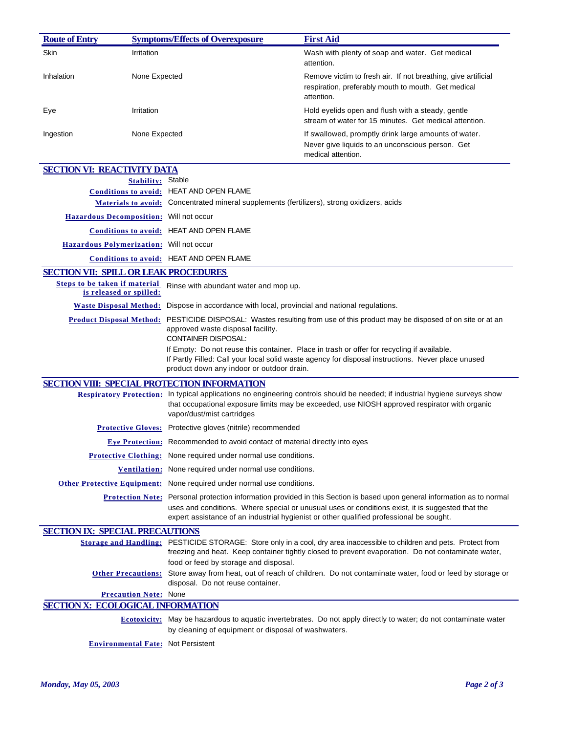| <b>Route of Entry</b>                           |                              | <b>Symptoms/Effects of Overexposure</b>                                                                                                                      | <b>First Aid</b>                                                                                                                                                                                                                                                                                                               |
|-------------------------------------------------|------------------------------|--------------------------------------------------------------------------------------------------------------------------------------------------------------|--------------------------------------------------------------------------------------------------------------------------------------------------------------------------------------------------------------------------------------------------------------------------------------------------------------------------------|
| Skin                                            | Irritation                   |                                                                                                                                                              | Wash with plenty of soap and water. Get medical<br>attention.                                                                                                                                                                                                                                                                  |
| Inhalation                                      | None Expected                |                                                                                                                                                              | Remove victim to fresh air. If not breathing, give artificial<br>respiration, preferably mouth to mouth. Get medical<br>attention.                                                                                                                                                                                             |
| Eye                                             | Irritation                   |                                                                                                                                                              | Hold eyelids open and flush with a steady, gentle<br>stream of water for 15 minutes. Get medical attention.                                                                                                                                                                                                                    |
| Ingestion                                       | None Expected                |                                                                                                                                                              | If swallowed, promptly drink large amounts of water.<br>Never give liquids to an unconscious person. Get<br>medical attention.                                                                                                                                                                                                 |
| <b>SECTION VI: REACTIVITY DATA</b>              |                              |                                                                                                                                                              |                                                                                                                                                                                                                                                                                                                                |
|                                                 | <b>Stability:</b> Stable     |                                                                                                                                                              |                                                                                                                                                                                                                                                                                                                                |
|                                                 |                              | Conditions to avoid: HEAT AND OPEN FLAME                                                                                                                     |                                                                                                                                                                                                                                                                                                                                |
|                                                 |                              | Materials to avoid: Concentrated mineral supplements (fertilizers), strong oxidizers, acids                                                                  |                                                                                                                                                                                                                                                                                                                                |
| Hazardous Decomposition: Will not occur         |                              |                                                                                                                                                              |                                                                                                                                                                                                                                                                                                                                |
|                                                 |                              | <b>Conditions to avoid: HEAT AND OPEN FLAME</b>                                                                                                              |                                                                                                                                                                                                                                                                                                                                |
| <b>Hazardous Polymerization:</b> Will not occur |                              |                                                                                                                                                              |                                                                                                                                                                                                                                                                                                                                |
|                                                 |                              | <b>Conditions to avoid: HEAT AND OPEN FLAME</b>                                                                                                              |                                                                                                                                                                                                                                                                                                                                |
| <b>SECTION VII: SPILL OR LEAK PROCEDURES</b>    |                              |                                                                                                                                                              |                                                                                                                                                                                                                                                                                                                                |
| is released or spilled:                         |                              | Steps to be taken if material Rinse with abundant water and mop up.                                                                                          |                                                                                                                                                                                                                                                                                                                                |
|                                                 |                              | Waste Disposal Method: Dispose in accordance with local, provincial and national regulations.                                                                |                                                                                                                                                                                                                                                                                                                                |
|                                                 |                              | approved waste disposal facility.<br>CONTAINER DISPOSAL:                                                                                                     | Product Disposal Method: PESTICIDE DISPOSAL: Wastes resulting from use of this product may be disposed of on site or at an<br>If Empty: Do not reuse this container. Place in trash or offer for recycling if available.<br>If Partly Filled: Call your local solid waste agency for disposal instructions. Never place unused |
|                                                 |                              | product down any indoor or outdoor drain.                                                                                                                    |                                                                                                                                                                                                                                                                                                                                |
|                                                 |                              | SECTION VIII: SPECIAL PROTECTION INFORMATION                                                                                                                 |                                                                                                                                                                                                                                                                                                                                |
|                                                 |                              | vapor/dust/mist cartridges                                                                                                                                   | Respiratory Protection: In typical applications no engineering controls should be needed; if industrial hygiene surveys show<br>that occupational exposure limits may be exceeded, use NIOSH approved respirator with organic                                                                                                  |
|                                                 |                              | <b>Protective Gloves:</b> Protective gloves (nitrile) recommended                                                                                            |                                                                                                                                                                                                                                                                                                                                |
|                                                 |                              | <b>Eye Protection:</b> Recommended to avoid contact of material directly into eyes                                                                           |                                                                                                                                                                                                                                                                                                                                |
|                                                 |                              | Protective Clothing: None required under normal use conditions.                                                                                              |                                                                                                                                                                                                                                                                                                                                |
|                                                 |                              | Ventilation: None required under normal use conditions.                                                                                                      |                                                                                                                                                                                                                                                                                                                                |
|                                                 |                              | Other Protective Equipment: None required under normal use conditions.                                                                                       |                                                                                                                                                                                                                                                                                                                                |
|                                                 |                              |                                                                                                                                                              | Protection Note: Personal protection information provided in this Section is based upon general information as to normal<br>uses and conditions. Where special or unusual uses or conditions exist, it is suggested that the<br>expert assistance of an industrial hygienist or other qualified professional be sought.        |
| <b>SECTION IX: SPECIAL PRECAUTIONS</b>          |                              |                                                                                                                                                              |                                                                                                                                                                                                                                                                                                                                |
|                                                 |                              | food or feed by storage and disposal.                                                                                                                        | Storage and Handling: PESTICIDE STORAGE: Store only in a cool, dry area inaccessible to children and pets. Protect from<br>freezing and heat. Keep container tightly closed to prevent evaporation. Do not contaminate water,                                                                                                  |
|                                                 |                              | Other Precautions: Store away from heat, out of reach of children. Do not contaminate water, food or feed by storage or<br>disposal. Do not reuse container. |                                                                                                                                                                                                                                                                                                                                |
|                                                 | <b>Precaution Note: None</b> |                                                                                                                                                              |                                                                                                                                                                                                                                                                                                                                |
| <b>SECTION X: ECOLOGICAL INFORMATION</b>        |                              |                                                                                                                                                              |                                                                                                                                                                                                                                                                                                                                |
|                                                 |                              | by cleaning of equipment or disposal of washwaters.                                                                                                          | <b>Ecotoxicity:</b> May be hazardous to aquatic invertebrates. Do not apply directly to water; do not contaminate water                                                                                                                                                                                                        |
|                                                 |                              | <b>Environmental Fate:</b> Not Persistent                                                                                                                    |                                                                                                                                                                                                                                                                                                                                |